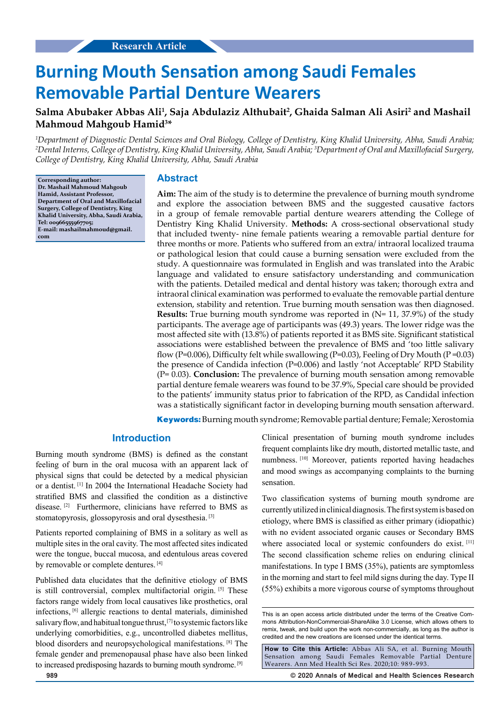# **Burning Mouth Sensation among Saudi Females Removable Partial Denture Wearers**

## **Salma Abubaker Abbas Ali1 , Saja Abdulaziz Althubait2 , Ghaida Salman Ali Asiri2 and Mashail Mahmoud Mahgoub Hamid3 \***

*1 Department of Diagnostic Dental Sciences and Oral Biology, College of Dentistry, King Khalid University, Abha, Saudi Arabia; 2 Dental Interns, College of Dentistry, King Khalid University, Abha, Saudi Arabia; 3 Department of Oral and Maxillofacial Surgery, College of Dentistry, King Khalid University, Abha, Saudi Arabia*

**Corresponding author: Dr. Mashail Mahmoud Mahgoub Hamid, Assistant Professor, Department of Oral and Maxillofacial Surgery, College of Dentistry, King Khalid University, Abha, Saudi Arabia, Tel: 00966555967705; E-mail: mashailmahmoud@gmail. com**

#### **Abstract**

**Aim:** The aim of the study is to determine the prevalence of burning mouth syndrome and explore the association between BMS and the suggested causative factors in a group of female removable partial denture wearers attending the College of Dentistry King Khalid University. **Methods:** A cross-sectional observational study that included twenty- nine female patients wearing a removable partial denture for three months or more. Patients who suffered from an extra/ intraoral localized trauma or pathological lesion that could cause a burning sensation were excluded from the study. A questionnaire was formulated in English and was translated into the Arabic language and validated to ensure satisfactory understanding and communication with the patients. Detailed medical and dental history was taken; thorough extra and intraoral clinical examination was performed to evaluate the removable partial denture extension, stability and retention. True burning mouth sensation was then diagnosed. **Results:** True burning mouth syndrome was reported in (N= 11, 37.9%) of the study participants. The average age of participants was (49.3) years. The lower ridge was the most affected site with (13.8%) of patients reported it as BMS site. Significant statistical associations were established between the prevalence of BMS and 'too little salivary flow (P=0.006), Difficulty felt while swallowing (P=0.03), Feeling of Dry Mouth (P=0.03) the presence of Candida infection (P=0.006) and lastly 'not Acceptable' RPD Stability (P= 0.03). **Conclusion:** The prevalence of burning mouth sensation among removable partial denture female wearers was found to be 37.9%, Special care should be provided to the patients' immunity status prior to fabrication of the RPD, as Candidal infection was a statistically significant factor in developing burning mouth sensation afterward.

**Keywords:**Burning mouth syndrome; Removable partial denture; Female; Xerostomia

### **Introduction**

Burning mouth syndrome (BMS) is defined as the constant feeling of burn in the oral mucosa with an apparent lack of physical signs that could be detected by a medical physician or a dentist. [1] In 2004 the International Headache Society had stratified BMS and classified the condition as a distinctive disease. [2] Furthermore, clinicians have referred to BMS as stomatopyrosis, glossopyrosis and oral dysesthesia. [3]

Patients reported complaining of BMS in a solitary as well as multiple sites in the oral cavity. The most affected sites indicated were the tongue, buccal mucosa, and edentulous areas covered by removable or complete dentures. [4]

Published data elucidates that the definitive etiology of BMS is still controversial, complex multifactorial origin. [5] These factors range widely from local causatives like prosthetics, oral infections, [6] allergic reactions to dental materials, diminished salivary flow, and habitual tongue thrust, [7] to systemic factors like underlying comorbidities, e.g., uncontrolled diabetes mellitus, blood disorders and neuropsychological manifestations. [8] The female gender and premenopausal phase have also been linked to increased predisposing hazards to burning mouth syndrome. [9]

Clinical presentation of burning mouth syndrome includes frequent complaints like dry mouth, distorted metallic taste, and numbness. [10] Moreover, patients reported having headaches and mood swings as accompanying complaints to the burning sensation.

Two classification systems of burning mouth syndrome are currently utilized in clinical diagnosis. The first system is based on etiology, where BMS is classified as either primary (idiopathic) with no evident associated organic causes or Secondary BMS where associated local or systemic confounders do exist. [11] The second classification scheme relies on enduring clinical manifestations. In type I BMS (35%), patients are symptomless in the morning and start to feel mild signs during the day. Type II (55%) exhibits a more vigorous course of symptoms throughout

**How to Cite this Article:** Abbas Ali SA, et al. Burning Mouth Sensation among Saudi Females Removable Partial Denture Wearers. Ann Med Health Sci Res. 2020;10: 989-993.

**989 © 2020 Annals of Medical and Health Sciences Research** 

This is an open access article distributed under the terms of the Creative Commons Attribution-NonCommercial-ShareAlike 3.0 License, which allows others to remix, tweak, and build upon the work non‑commercially, as long as the author is credited and the new creations are licensed under the identical terms.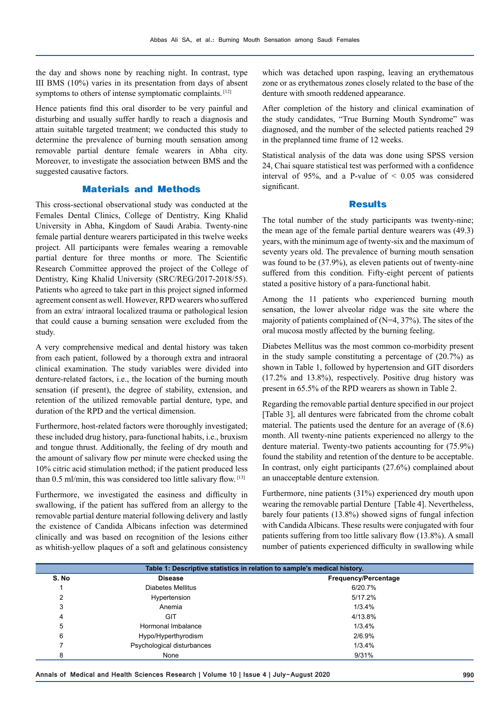the day and shows none by reaching night. In contrast, type III BMS (10%) varies in its presentation from days of absent symptoms to others of intense symptomatic complaints. [12]

Hence patients find this oral disorder to be very painful and disturbing and usually suffer hardly to reach a diagnosis and attain suitable targeted treatment; we conducted this study to determine the prevalence of burning mouth sensation among removable partial denture female wearers in Abha city. Moreover, to investigate the association between BMS and the suggested causative factors.

#### **Materials and Methods**

This cross-sectional observational study was conducted at the Females Dental Clinics, College of Dentistry, King Khalid University in Abha, Kingdom of Saudi Arabia. Twenty-nine female partial denture wearers participated in this twelve weeks project. All participants were females wearing a removable partial denture for three months or more. The Scientific Research Committee approved the project of the College of Dentistry, King Khalid University (SRC/REG/2017-2018/55). Patients who agreed to take part in this project signed informed agreement consent as well. However, RPD wearers who suffered from an extra/ intraoral localized trauma or pathological lesion that could cause a burning sensation were excluded from the study.

A very comprehensive medical and dental history was taken from each patient, followed by a thorough extra and intraoral clinical examination. The study variables were divided into denture-related factors, i.e., the location of the burning mouth sensation (if present), the degree of stability, extension, and retention of the utilized removable partial denture, type, and duration of the RPD and the vertical dimension.

Furthermore, host-related factors were thoroughly investigated; these included drug history, para-functional habits, i.e., bruxism and tongue thrust. Additionally, the feeling of dry mouth and the amount of salivary flow per minute were checked using the 10% citric acid stimulation method; if the patient produced less than 0.5 ml/min, this was considered too little salivary flow. [13]

Furthermore, we investigated the easiness and difficulty in swallowing, if the patient has suffered from an allergy to the removable partial denture material following delivery and lastly the existence of Candida Albicans infection was determined clinically and was based on recognition of the lesions either as whitish-yellow plaques of a soft and gelatinous consistency

which was detached upon rasping, leaving an erythematous zone or as erythematous zones closely related to the base of the denture with smooth reddened appearance.

After completion of the history and clinical examination of the study candidates, "True Burning Mouth Syndrome" was diagnosed, and the number of the selected patients reached 29 in the preplanned time frame of 12 weeks.

Statistical analysis of the data was done using SPSS version 24, Chai square statistical test was performed with a confidence interval of 95%, and a P-value of  $\leq$  0.05 was considered significant.

#### **Results**

The total number of the study participants was twenty-nine; the mean age of the female partial denture wearers was (49.3) years, with the minimum age of twenty-six and the maximum of seventy years old. The prevalence of burning mouth sensation was found to be (37.9%), as eleven patients out of twenty-nine suffered from this condition. Fifty-eight percent of patients stated a positive history of a para-functional habit.

Among the 11 patients who experienced burning mouth sensation, the lower alveolar ridge was the site where the majority of patients complained of (N=4, 37%). The sites of the oral mucosa mostly affected by the burning feeling.

Diabetes Mellitus was the most common co-morbidity present in the study sample constituting a percentage of (20.7%) as shown in Table 1, followed by hypertension and GIT disorders (17.2% and 13.8%), respectively. Positive drug history was present in 65.5% of the RPD wearers as shown in Table 2.

Regarding the removable partial denture specified in our project [Table 3], all dentures were fabricated from the chrome cobalt material. The patients used the denture for an average of (8.6) month. All twenty-nine patients experienced no allergy to the denture material. Twenty-two patients accounting for (75.9%) found the stability and retention of the denture to be acceptable. In contrast, only eight participants (27.6%) complained about an unacceptable denture extension.

Furthermore, nine patients (31%) experienced dry mouth upon wearing the removable partial Denture [Table 4]. Nevertheless, barely four patients (13.8%) showed signs of fungal infection with Candida Albicans. These results were conjugated with four patients suffering from too little salivary flow (13.8%). A small number of patients experienced difficulty in swallowing while

| Table 1: Descriptive statistics in relation to sample's medical history. |                            |                      |  |  |
|--------------------------------------------------------------------------|----------------------------|----------------------|--|--|
| S. No                                                                    | <b>Disease</b>             | Frequency/Percentage |  |  |
|                                                                          | Diabetes Mellitus          | 6/20.7%              |  |  |
| ົ<br>∠                                                                   | Hypertension               | 5/17.2%              |  |  |
| 3                                                                        | Anemia                     | 1/3.4%               |  |  |
| 4                                                                        | GIT                        | 4/13.8%              |  |  |
| 5                                                                        | Hormonal Imbalance         | 1/3.4%               |  |  |
| 6                                                                        | Hypo/Hyperthyrodism        | 2/6.9%               |  |  |
|                                                                          | Psychological disturbances | 1/3.4%               |  |  |
| 8                                                                        | None                       | 9/31%                |  |  |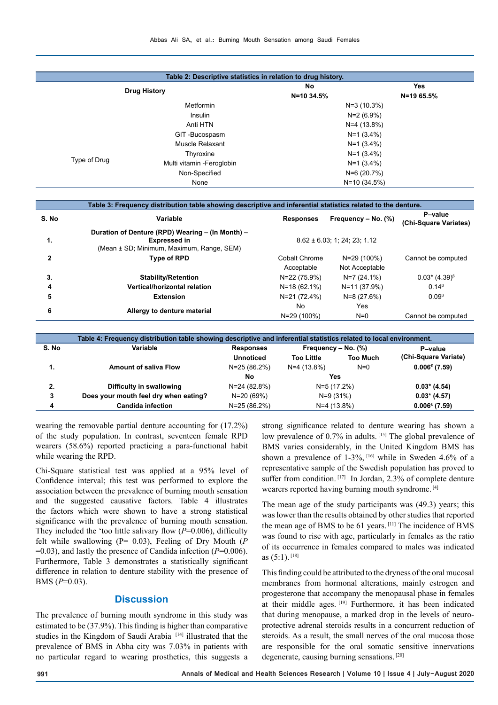| Table 2: Descriptive statistics in relation to drug history. |                            |              |               |  |
|--------------------------------------------------------------|----------------------------|--------------|---------------|--|
|                                                              |                            | No           | Yes           |  |
| <b>Drug History</b>                                          |                            | N=10 34.5%   | $N = 1965.5%$ |  |
| <b>Metformin</b><br>Insulin                                  |                            |              | $N=3(10.3%)$  |  |
|                                                              |                            | N=2 (6.9%)   |               |  |
|                                                              | Anti HTN                   |              | $N=4(13.8%)$  |  |
|                                                              | GIT-Bucospasm              |              | $N=1$ (3.4%)  |  |
|                                                              | Muscle Relaxant            | $N=1$ (3.4%) |               |  |
|                                                              | Thyroxine                  | $N=1$ (3.4%) |               |  |
| Type of Drug                                                 | Multi vitamin - Feroglobin | $N=1$ (3.4%) |               |  |
|                                                              | Non-Specified              | $N=6(20.7%)$ |               |  |
|                                                              | None                       |              | $N=10(34.5%)$ |  |

| Table 3: Frequency distribution table showing descriptive and inferential statistics related to the denture. |                                                                                                                      |                                    |                               |                                              |  |
|--------------------------------------------------------------------------------------------------------------|----------------------------------------------------------------------------------------------------------------------|------------------------------------|-------------------------------|----------------------------------------------|--|
| S.No                                                                                                         | Variable                                                                                                             | <b>Responses</b>                   | Frequency $-$ No. $(\%)$      | P-value<br>(Chi-Square Variates)             |  |
| 1.                                                                                                           | Duration of Denture (RPD) Wearing - (In Month) -<br><b>Expressed in</b><br>(Mean ± SD; Minimum, Maximum, Range, SEM) | $8.62 \pm 6.03$ ; 1; 24; 23; 1.12  |                               |                                              |  |
| 2                                                                                                            | <b>Type of RPD</b>                                                                                                   | <b>Cobalt Chrome</b><br>Acceptable | N=29 (100%)<br>Not Acceptable | Cannot be computed                           |  |
| 3.                                                                                                           | <b>Stability/Retention</b>                                                                                           | N=22 (75.9%)                       | $N=7(24.1\%)$                 | $0.03*$ (4.39) <sup><math>\beta</math></sup> |  |
| 4                                                                                                            | Vertical/horizontal relation                                                                                         | $N=18(62.1%)$                      | N=11 (37.9%)                  | 0.14 <sup>β</sup>                            |  |
| 5                                                                                                            | <b>Extension</b>                                                                                                     | N=21 (72.4%)                       | $N=8(27.6%)$                  | 0.09 <sup>β</sup>                            |  |
| 6                                                                                                            | Allergy to denture material                                                                                          | No.<br>N=29 (100%)                 | Yes<br>$N=0$                  | Cannot be computed                           |  |

| Table 4: Frequency distribution table showing descriptive and inferential statistics related to local environment. |                                       |                  |                          |                 |                                        |  |
|--------------------------------------------------------------------------------------------------------------------|---------------------------------------|------------------|--------------------------|-----------------|----------------------------------------|--|
| S. No                                                                                                              | Variable                              | <b>Responses</b> | Frequency $-$ No. $(\%)$ |                 | P-value                                |  |
|                                                                                                                    |                                       | <b>Unnoticed</b> | <b>Too Little</b>        | <b>Too Much</b> | (Chi-Square Variate)                   |  |
| 1.                                                                                                                 | <b>Amount of saliva Flow</b>          | $N=25(86.2%)$    | N=4 (13.8%)              | $N=0$           | $0.006$ <sup><math>(7.59)</math></sup> |  |
|                                                                                                                    |                                       | No               | <b>Yes</b>               |                 |                                        |  |
| 2.                                                                                                                 | Difficulty in swallowing              | N=24 (82.8%)     | N=5 (17.2%)              |                 | $0.03*$ (4.54)                         |  |
| 3                                                                                                                  | Does your mouth feel dry when eating? | N=20 (69%)       | $N=9(31%)$               |                 | $0.03*$ (4.57)                         |  |
| 4                                                                                                                  | <b>Candida infection</b>              | $N=25(86.2%)$    | $N=4(13.8%)$             |                 | $0.006$ <sup><math>(7.59)</math></sup> |  |
|                                                                                                                    |                                       |                  |                          |                 |                                        |  |

wearing the removable partial denture accounting for (17.2%) of the study population. In contrast, seventeen female RPD wearers (58.6%) reported practicing a para-functional habit while wearing the RPD.

Chi-Square statistical test was applied at a 95% level of Confidence interval; this test was performed to explore the association between the prevalence of burning mouth sensation and the suggested causative factors. Table 4 illustrates the factors which were shown to have a strong statistical significance with the prevalence of burning mouth sensation. They included the 'too little salivary flow (*P*=0.006), difficulty felt while swallowing (P= 0.03), Feeling of Dry Mouth (*P* =0.03), and lastly the presence of Candida infection (*P*=0.006). Furthermore, Table 3 demonstrates a statistically significant difference in relation to denture stability with the presence of BMS (*P*=0.03).

#### **Discussion**

The prevalence of burning mouth syndrome in this study was estimated to be (37.9%). This finding is higher than comparative studies in the Kingdom of Saudi Arabia [14] illustrated that the prevalence of BMS in Abha city was 7.03% in patients with no particular regard to wearing prosthetics, this suggests a

strong significance related to denture wearing has shown a low prevalence of 0.7% in adults. [15] The global prevalence of BMS varies considerably, in the United Kingdom BMS has shown a prevalence of  $1-3\%$ , <sup>[16]</sup> while in Sweden 4.6% of a representative sample of the Swedish population has proved to suffer from condition. [17] In Jordan, 2.3% of complete denture wearers reported having burning mouth syndrome. [4]

The mean age of the study participants was (49.3) years; this was lower than the results obtained by other studies that reported the mean age of BMS to be 61 years. [11] The incidence of BMS was found to rise with age, particularly in females as the ratio of its occurrence in females compared to males was indicated as  $(5:1)$ . [18]

This finding could be attributed to the dryness of the oral mucosal membranes from hormonal alterations, mainly estrogen and progesterone that accompany the menopausal phase in females at their middle ages. [19] Furthermore, it has been indicated that during menopause, a marked drop in the levels of neuroprotective adrenal steroids results in a concurrent reduction of steroids. As a result, the small nerves of the oral mucosa those are responsible for the oral somatic sensitive innervations degenerate, causing burning sensations. [20]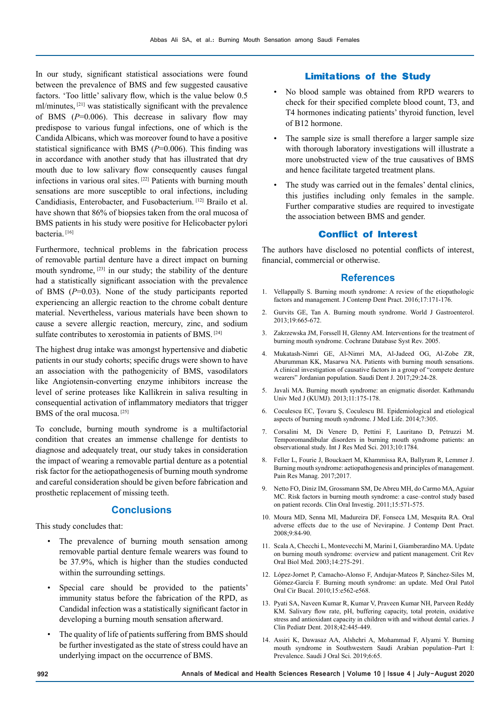In our study, significant statistical associations were found between the prevalence of BMS and few suggested causative factors. 'Too little' salivary flow, which is the value below 0.5 ml/minutes, [21] was statistically significant with the prevalence of BMS (*P*=0.006). This decrease in salivary flow may predispose to various fungal infections, one of which is the Candida Albicans, which was moreover found to have a positive statistical significance with BMS (*P*=0.006). This finding was in accordance with another study that has illustrated that dry mouth due to low salivary flow consequently causes fungal infections in various oral sites. [22] Patients with burning mouth sensations are more susceptible to oral infections, including Candidiasis, Enterobacter, and Fusobacterium. [12] Brailo et al. have shown that 86% of biopsies taken from the oral mucosa of BMS patients in his study were positive for Helicobacter pylori bacteria.<sup>[16]</sup>

Furthermore, technical problems in the fabrication process of removable partial denture have a direct impact on burning mouth syndrome, <sup>[23]</sup> in our study; the stability of the denture had a statistically significant association with the prevalence of BMS (*P*=0.03). None of the study participants reported experiencing an allergic reaction to the chrome cobalt denture material. Nevertheless, various materials have been shown to cause a severe allergic reaction, mercury, zinc, and sodium sulfate contributes to xerostomia in patients of BMS. [24]

The highest drug intake was amongst hypertensive and diabetic patients in our study cohorts; specific drugs were shown to have an association with the pathogenicity of BMS, vasodilators like Angiotensin-converting enzyme inhibitors increase the level of serine proteases like Kallikrein in saliva resulting in consequential activation of inflammatory mediators that trigger BMS of the oral mucosa.<sup>[25]</sup>

To conclude, burning mouth syndrome is a multifactorial condition that creates an immense challenge for dentists to diagnose and adequately treat, our study takes in consideration the impact of wearing a removable partial denture as a potential risk factor for the aetiopathogenesis of burning mouth syndrome and careful consideration should be given before fabrication and prosthetic replacement of missing teeth.

#### **Conclusions**

This study concludes that:

- The prevalence of burning mouth sensation among removable partial denture female wearers was found to be 37.9%, which is higher than the studies conducted within the surrounding settings.
- Special care should be provided to the patients' immunity status before the fabrication of the RPD, as Candidal infection was a statistically significant factor in developing a burning mouth sensation afterward.
- The quality of life of patients suffering from BMS should be further investigated as the state of stress could have an underlying impact on the occurrence of BMS.

#### **Limitations of the Study**

- No blood sample was obtained from RPD wearers to check for their specified complete blood count, T3, and T4 hormones indicating patients' thyroid function, level of B12 hormone.
- The sample size is small therefore a larger sample size with thorough laboratory investigations will illustrate a more unobstructed view of the true causatives of BMS and hence facilitate targeted treatment plans.
- The study was carried out in the females' dental clinics, this justifies including only females in the sample. Further comparative studies are required to investigate the association between BMS and gender.

#### **Conflict of Interest**

The authors have disclosed no potential conflicts of interest, financial, commercial or otherwise.

#### **References**

- 1. Vellappally S. Burning mouth syndrome: A review of the etiopathologic factors and management. J Contemp Dent Pract. 2016;17:171-176.
- 2. Gurvits GE, Tan A. Burning mouth syndrome. World J Gastroenterol. 2013;19:665-672.
- 3. Zakrzewska JM, Forssell H, Glenny AM. Interventions for the treatment of burning mouth syndrome. Cochrane Database Syst Rev. 2005.
- 4. Mukatash-Nimri GE, Al-Nimri MA, Al-Jadeed OG, Al-Zobe ZR, Aburumman KK, Masarwa NA. Patients with burning mouth sensations. A clinical investigation of causative factors in a group of "compete denture wearers" Jordanian population. Saudi Dent J. 2017;29:24-28.
- 5. Javali MA. Burning mouth syndrome: an enigmatic disorder. Kathmandu Univ Med J (KUMJ). 2013;11:175-178.
- 6. Coculescu EC, Ţovaru Ş, Coculescu BI. Epidemiological and etiological aspects of burning mouth syndrome. J Med Life. 2014;7:305.
- 7. Corsalini M, Di Venere D, Pettini F, Lauritano D, Petruzzi M. Temporomandibular disorders in burning mouth syndrome patients: an observational study. Int J Res Med Sci. 2013;10:1784.
- 8. Feller L, Fourie J, Bouckaert M, Khammissa RA, Ballyram R, Lemmer J. Burning mouth syndrome: aetiopathogenesis and principles of management. Pain Res Manag. 2017;2017.
- 9. Netto FO, Diniz IM, Grossmann SM, De Abreu MH, do Carmo MA, Aguiar MC. Risk factors in burning mouth syndrome: a case–control study based on patient records. Clin Oral Investig. 2011;15:571-575.
- 10. Moura MD, Senna MI, Madureira DF, Fonseca LM, Mesquita RA. Oral adverse effects due to the use of Nevirapine. J Contemp Dent Pract. 2008;9:84-90.
- 11. Scala A, Checchi L, Montevecchi M, Marini I, Giamberardino MA. Update on burning mouth syndrome: overview and patient management. Crit Rev Oral Biol Med. 2003;14:275-291.
- 12. López-Jornet P, Camacho-Alonso F, Andujar-Mateos P, Sánchez-Siles M, Gómez-García F. Burning mouth syndrome: an update. Med Oral Patol Oral Cir Bucal. 2010;15:e562-e568.
- 13. Pyati SA, Naveen Kumar R, Kumar V, Praveen Kumar NH, Parveen Reddy KM. Salivary flow rate, pH, buffering capacity, total protein, oxidative stress and antioxidant capacity in children with and without dental caries. J Clin Pediatr Dent. 2018;42:445-449.
- 14. Assiri K, Dawasaz AA, Alshehri A, Mohammad F, Alyami Y. Burning mouth syndrome in Southwestern Saudi Arabian population–Part I: Prevalence. Saudi J Oral Sci. 2019;6:65.